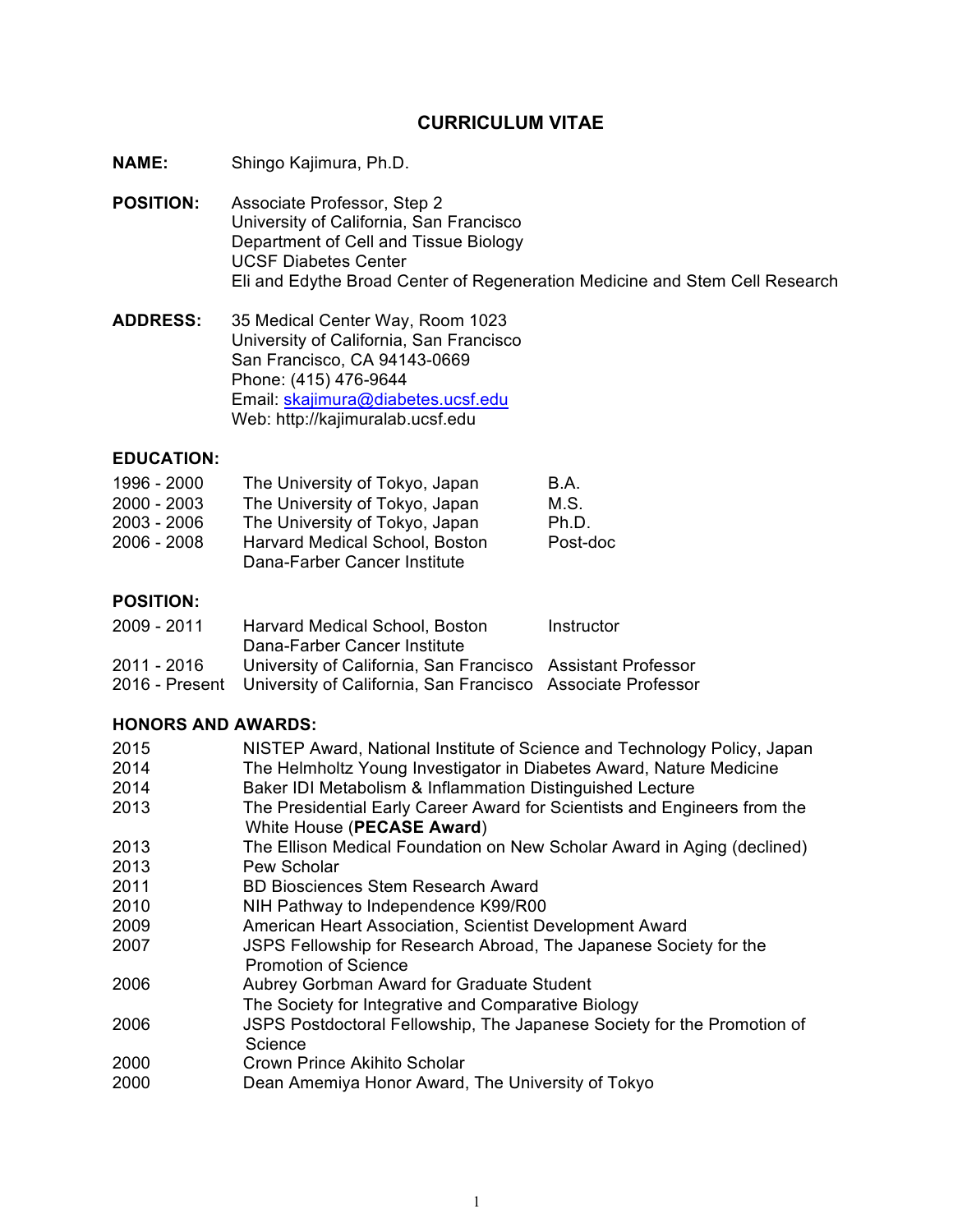## **CURRICULUM VITAE**

- **NAME:** Shingo Kajimura, Ph.D.
- **POSITION:** Associate Professor, Step 2 University of California, San Francisco Department of Cell and Tissue Biology UCSF Diabetes Center Eli and Edythe Broad Center of Regeneration Medicine and Stem Cell Research
- **ADDRESS:** 35 Medical Center Way, Room 1023 University of California, San Francisco San Francisco, CA 94143-0669 Phone: (415) 476-9644 Email: skajimura@diabetes.ucsf.edu Web: http://kajimuralab.ucsf.edu

### **EDUCATION:**

| 1996 - 2000   | The University of Tokyo, Japan                                        | B.A.     |
|---------------|-----------------------------------------------------------------------|----------|
| $2000 - 2003$ | The University of Tokyo, Japan                                        | M.S.     |
| 2003 - 2006   | The University of Tokyo, Japan                                        | Ph.D.    |
| 2006 - 2008   | <b>Harvard Medical School, Boston</b><br>Dana-Farber Cancer Institute | Post-doc |

### **POSITION:**

| 2009 - 2011 | Harvard Medical School, Boston                                             | Instructor |
|-------------|----------------------------------------------------------------------------|------------|
|             | Dana-Farber Cancer Institute                                               |            |
| 2011 - 2016 | University of California, San Francisco Assistant Professor                |            |
|             | 2016 - Present University of California, San Francisco Associate Professor |            |

### **HONORS AND AWARDS:**

| NISTEP Award, National Institute of Science and Technology Policy, Japan                                |
|---------------------------------------------------------------------------------------------------------|
| The Helmholtz Young Investigator in Diabetes Award, Nature Medicine                                     |
| Baker IDI Metabolism & Inflammation Distinguished Lecture                                               |
| The Presidential Early Career Award for Scientists and Engineers from the<br>White House (PECASE Award) |
| The Ellison Medical Foundation on New Scholar Award in Aging (declined)                                 |
| Pew Scholar                                                                                             |
| <b>BD Biosciences Stem Research Award</b>                                                               |
| NIH Pathway to Independence K99/R00                                                                     |
| American Heart Association, Scientist Development Award                                                 |
| JSPS Fellowship for Research Abroad, The Japanese Society for the<br><b>Promotion of Science</b>        |
| Aubrey Gorbman Award for Graduate Student                                                               |
| The Society for Integrative and Comparative Biology                                                     |
| JSPS Postdoctoral Fellowship, The Japanese Society for the Promotion of<br>Science                      |
| Crown Prince Akihito Scholar                                                                            |
| Dean Amemiya Honor Award, The University of Tokyo                                                       |
|                                                                                                         |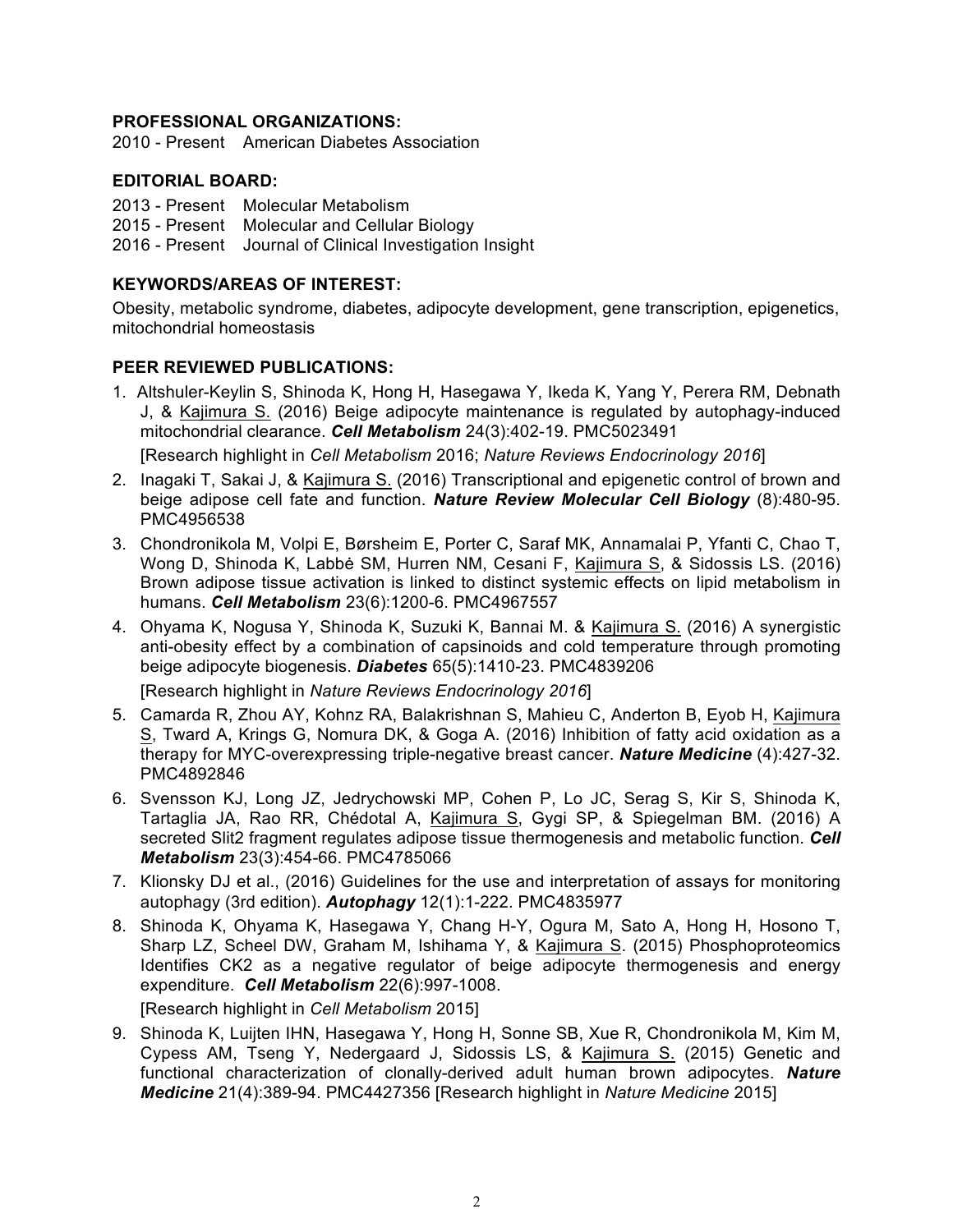#### **PROFESSIONAL ORGANIZATIONS:**

2010 - Present American Diabetes Association

#### **EDITORIAL BOARD:**

2013 - Present Molecular Metabolism 2015 - Present Molecular and Cellular Biology 2016 - Present Journal of Clinical Investigation Insight

#### **KEYWORDS/AREAS OF INTEREST:**

Obesity, metabolic syndrome, diabetes, adipocyte development, gene transcription, epigenetics, mitochondrial homeostasis

### **PEER REVIEWED PUBLICATIONS:**

1. Altshuler-Keylin S, Shinoda K, Hong H, Hasegawa Y, Ikeda K, Yang Y, Perera RM, Debnath J, & Kajimura S. (2016) Beige adipocyte maintenance is regulated by autophagy-induced mitochondrial clearance. *Cell Metabolism* 24(3):402-19. PMC5023491

[Research highlight in *Cell Metabolism* 2016; *Nature Reviews Endocrinology 2016*]

- 2. Inagaki T, Sakai J, & Kajimura S. (2016) Transcriptional and epigenetic control of brown and beige adipose cell fate and function. *Nature Review Molecular Cell Biology* (8):480-95. PMC4956538
- 3. Chondronikola M, Volpi E, Børsheim E, Porter C, Saraf MK, Annamalai P, Yfanti C, Chao T, Wong D, Shinoda K, Labbė SM, Hurren NM, Cesani F, Kajimura S, & Sidossis LS. (2016) Brown adipose tissue activation is linked to distinct systemic effects on lipid metabolism in humans. *Cell Metabolism* 23(6):1200-6. PMC4967557
- 4. Ohyama K, Nogusa Y, Shinoda K, Suzuki K, Bannai M. & Kajimura S. (2016) A synergistic anti-obesity effect by a combination of capsinoids and cold temperature through promoting beige adipocyte biogenesis. *Diabetes* 65(5):1410-23. PMC4839206

[Research highlight in *Nature Reviews Endocrinology 2016*]

- 5. Camarda R, Zhou AY, Kohnz RA, Balakrishnan S, Mahieu C, Anderton B, Eyob H, Kajimura S, Tward A, Krings G, Nomura DK, & Goga A. (2016) Inhibition of fatty acid oxidation as a therapy for MYC-overexpressing triple-negative breast cancer. *Nature Medicine* (4):427-32. PMC4892846
- 6. Svensson KJ, Long JZ, Jedrychowski MP, Cohen P, Lo JC, Serag S, Kir S, Shinoda K, Tartaglia JA, Rao RR, Chédotal A, Kajimura S, Gygi SP, & Spiegelman BM. (2016) A secreted Slit2 fragment regulates adipose tissue thermogenesis and metabolic function. *Cell Metabolism* 23(3):454-66. PMC4785066
- 7. Klionsky DJ et al., (2016) Guidelines for the use and interpretation of assays for monitoring autophagy (3rd edition). *Autophagy* 12(1):1-222. PMC4835977
- 8. Shinoda K, Ohyama K, Hasegawa Y, Chang H-Y, Ogura M, Sato A, Hong H, Hosono T, Sharp LZ, Scheel DW, Graham M, Ishihama Y, & Kajimura S. (2015) Phosphoproteomics Identifies CK2 as a negative regulator of beige adipocyte thermogenesis and energy expenditure. *Cell Metabolism* 22(6):997-1008.

[Research highlight in *Cell Metabolism* 2015]

9. Shinoda K, Luijten IHN, Hasegawa Y, Hong H, Sonne SB, Xue R, Chondronikola M, Kim M, Cypess AM, Tseng Y, Nedergaard J, Sidossis LS, & Kajimura S. (2015) Genetic and functional characterization of clonally-derived adult human brown adipocytes. *Nature Medicine* 21(4):389-94. PMC4427356 [Research highlight in *Nature Medicine* 2015]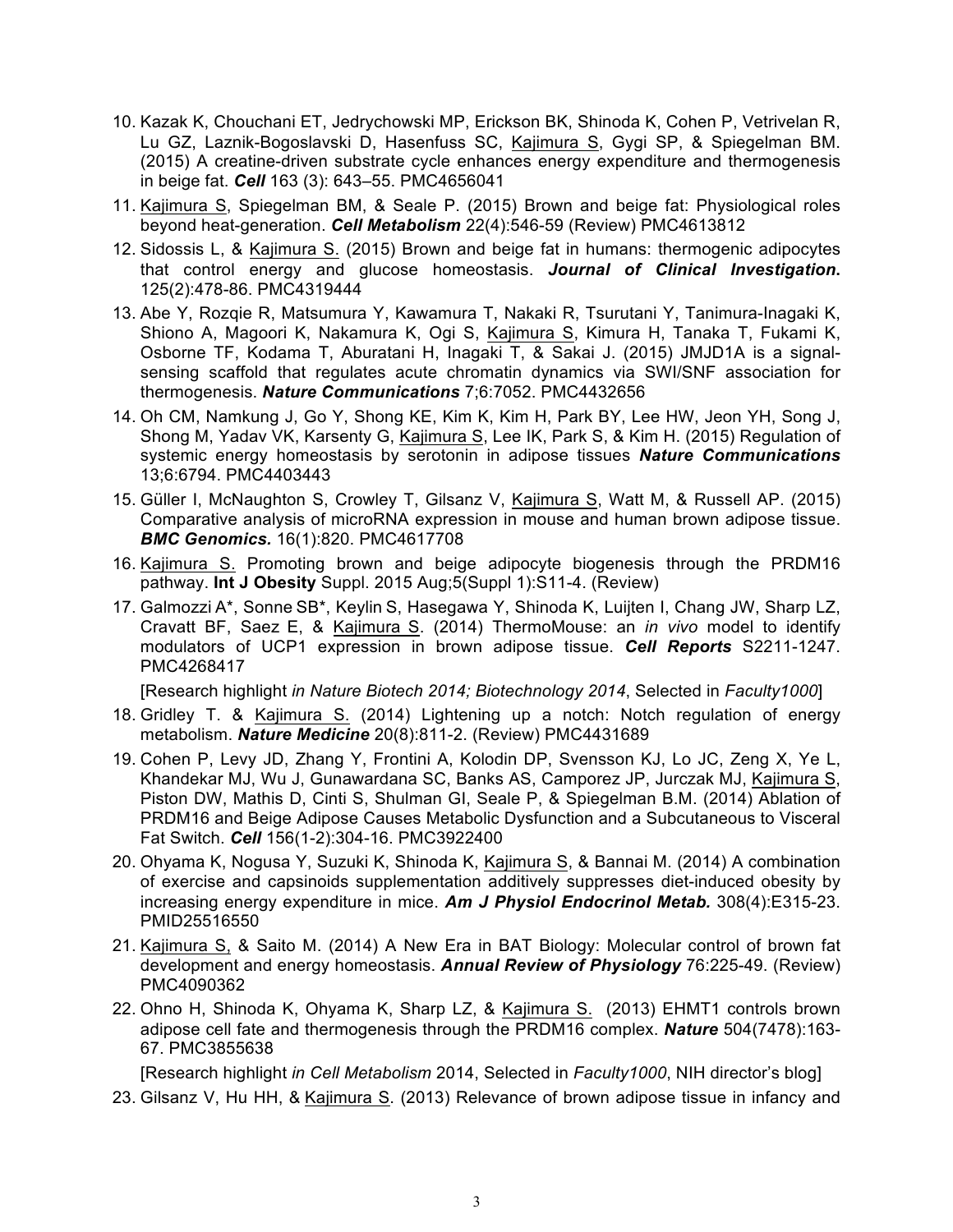- 10. Kazak K, Chouchani ET, Jedrychowski MP, Erickson BK, Shinoda K, Cohen P, Vetrivelan R, Lu GZ, Laznik-Bogoslavski D, Hasenfuss SC, Kajimura S, Gygi SP, & Spiegelman BM. (2015) A creatine-driven substrate cycle enhances energy expenditure and thermogenesis in beige fat. *Cell* 163 (3): 643–55. PMC4656041
- 11. Kajimura S, Spiegelman BM, & Seale P. (2015) Brown and beige fat: Physiological roles beyond heat-generation. *Cell Metabolism* 22(4):546-59 (Review) PMC4613812
- 12. Sidossis L, & Kajimura S. (2015) Brown and beige fat in humans: thermogenic adipocytes that control energy and glucose homeostasis. *Journal of Clinical Investigation***.** 125(2):478-86. PMC4319444
- 13. Abe Y, Rozqie R, Matsumura Y, Kawamura T, Nakaki R, Tsurutani Y, Tanimura-Inagaki K, Shiono A, Magoori K, Nakamura K, Ogi S, Kajimura S, Kimura H, Tanaka T, Fukami K, Osborne TF, Kodama T, Aburatani H, Inagaki T, & Sakai J. (2015) JMJD1A is a signalsensing scaffold that regulates acute chromatin dynamics via SWI/SNF association for thermogenesis. *Nature Communications* 7;6:7052. PMC4432656
- 14. Oh CM, Namkung J, Go Y, Shong KE, Kim K, Kim H, Park BY, Lee HW, Jeon YH, Song J, Shong M, Yadav VK, Karsenty G, Kajimura S, Lee IK, Park S, & Kim H. (2015) Regulation of systemic energy homeostasis by serotonin in adipose tissues *Nature Communications*  13;6:6794. PMC4403443
- 15. Güller I, McNaughton S, Crowley T, Gilsanz V, Kajimura S, Watt M, & Russell AP. (2015) Comparative analysis of microRNA expression in mouse and human brown adipose tissue. *BMC Genomics.* 16(1):820. PMC4617708
- 16. Kajimura S. Promoting brown and beige adipocyte biogenesis through the PRDM16 pathway. **Int J Obesity** Suppl. 2015 Aug;5(Suppl 1):S11-4. (Review)
- 17. Galmozzi A\*, Sonne SB\*, Keylin S, Hasegawa Y, Shinoda K, Luijten I, Chang JW, Sharp LZ, Cravatt BF, Saez E, & Kajimura S. (2014) ThermoMouse: an *in vivo* model to identify modulators of UCP1 expression in brown adipose tissue. *Cell Reports* S2211-1247. PMC4268417

[Research highlight *in Nature Biotech 2014; Biotechnology 2014*, Selected in *Faculty1000*]

- 18. Gridley T. & Kajimura S. (2014) Lightening up a notch: Notch regulation of energy metabolism. *Nature Medicine* 20(8):811-2. (Review) PMC4431689
- 19. Cohen P, Levy JD, Zhang Y, Frontini A, Kolodin DP, Svensson KJ, Lo JC, Zeng X, Ye L, Khandekar MJ, Wu J, Gunawardana SC, Banks AS, Camporez JP, Jurczak MJ, Kajimura S, Piston DW, Mathis D, Cinti S, Shulman GI, Seale P, & Spiegelman B.M. (2014) Ablation of PRDM16 and Beige Adipose Causes Metabolic Dysfunction and a Subcutaneous to Visceral Fat Switch. *Cell* 156(1-2):304-16. PMC3922400
- 20. Ohyama K, Nogusa Y, Suzuki K, Shinoda K, Kajimura S, & Bannai M. (2014) A combination of exercise and capsinoids supplementation additively suppresses diet-induced obesity by increasing energy expenditure in mice. *Am J Physiol Endocrinol Metab.* 308(4):E315-23. PMID25516550
- 21. Kajimura S, & Saito M. (2014) A New Era in BAT Biology: Molecular control of brown fat development and energy homeostasis. *Annual Review of Physiology* 76:225-49. (Review) PMC4090362
- 22. Ohno H, Shinoda K, Ohyama K, Sharp LZ, & Kajimura S. (2013) EHMT1 controls brown adipose cell fate and thermogenesis through the PRDM16 complex. *Nature* 504(7478):163- 67. PMC3855638

[Research highlight *in Cell Metabolism* 2014, Selected in *Faculty1000*, NIH director's blog]

23. Gilsanz V, Hu HH, & Kajimura S. (2013) Relevance of brown adipose tissue in infancy and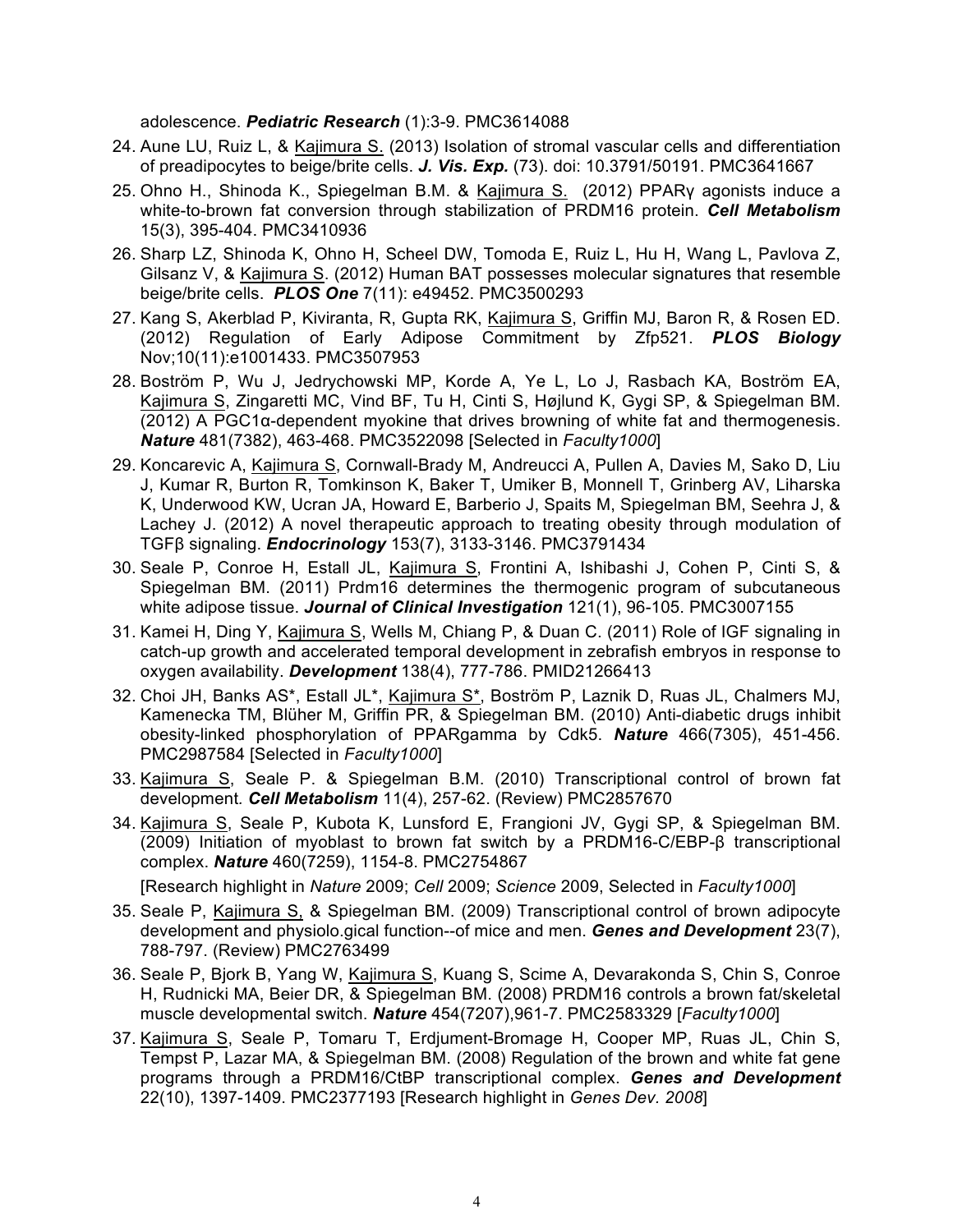adolescence. *Pediatric Research* (1):3-9. PMC3614088

- 24. Aune LU, Ruiz L, & Kajimura S. (2013) Isolation of stromal vascular cells and differentiation of preadipocytes to beige/brite cells. *J. Vis. Exp.* (73). doi: 10.3791/50191. PMC3641667
- 25. Ohno H., Shinoda K., Spiegelman B.M. & Kajimura S. (2012) PPARγ agonists induce a white-to-brown fat conversion through stabilization of PRDM16 protein. *Cell Metabolism*  15(3), 395-404. PMC3410936
- 26. Sharp LZ, Shinoda K, Ohno H, Scheel DW, Tomoda E, Ruiz L, Hu H, Wang L, Pavlova Z, Gilsanz V, & Kajimura S. (2012) Human BAT possesses molecular signatures that resemble beige/brite cells. *PLOS One* 7(11): e49452. PMC3500293
- 27. Kang S, Akerblad P, Kiviranta, R, Gupta RK, Kajimura S, Griffin MJ, Baron R, & Rosen ED. (2012) Regulation of Early Adipose Commitment by Zfp521. *PLOS Biology* Nov;10(11):e1001433. PMC3507953
- 28. Boström P, Wu J, Jedrychowski MP, Korde A, Ye L, Lo J, Rasbach KA, Boström EA, Kajimura S, Zingaretti MC, Vind BF, Tu H, Cinti S, Højlund K, Gygi SP, & Spiegelman BM. (2012) A PGC1α-dependent myokine that drives browning of white fat and thermogenesis. *Nature* 481(7382), 463-468. PMC3522098 [Selected in *Faculty1000*]
- 29. Koncarevic A, Kajimura S, Cornwall-Brady M, Andreucci A, Pullen A, Davies M, Sako D, Liu J, Kumar R, Burton R, Tomkinson K, Baker T, Umiker B, Monnell T, Grinberg AV, Liharska K, Underwood KW, Ucran JA, Howard E, Barberio J, Spaits M, Spiegelman BM, Seehra J, & Lachey J. (2012) A novel therapeutic approach to treating obesity through modulation of TGFβ signaling. *Endocrinology* 153(7), 3133-3146. PMC3791434
- 30. Seale P, Conroe H, Estall JL, Kajimura S, Frontini A, Ishibashi J, Cohen P, Cinti S, & Spiegelman BM. (2011) Prdm16 determines the thermogenic program of subcutaneous white adipose tissue. *Journal of Clinical Investigation* 121(1), 96-105. PMC3007155
- 31. Kamei H, Ding Y, Kajimura S, Wells M, Chiang P, & Duan C. (2011) Role of IGF signaling in catch-up growth and accelerated temporal development in zebrafish embryos in response to oxygen availability. *Development* 138(4), 777-786. PMID21266413
- 32. Choi JH, Banks AS\*, Estall JL\*, Kajimura S\*, Boström P, Laznik D, Ruas JL, Chalmers MJ, Kamenecka TM, Blüher M, Griffin PR, & Spiegelman BM. (2010) Anti-diabetic drugs inhibit obesity-linked phosphorylation of PPARgamma by Cdk5. *Nature* 466(7305), 451-456. PMC2987584 [Selected in *Faculty1000*]
- 33. Kajimura S, Seale P. & Spiegelman B.M. (2010) Transcriptional control of brown fat development*. Cell Metabolism* 11(4), 257-62. (Review) PMC2857670
- 34. Kajimura S, Seale P, Kubota K, Lunsford E, Frangioni JV, Gygi SP, & Spiegelman BM. (2009) Initiation of myoblast to brown fat switch by a PRDM16-C/EBP-β transcriptional complex. *Nature* 460(7259), 1154-8. PMC2754867

[Research highlight in *Nature* 2009; *Cell* 2009; *Science* 2009, Selected in *Faculty1000*]

- 35. Seale P, Kajimura S, & Spiegelman BM. (2009) Transcriptional control of brown adipocyte development and physiolo.gical function--of mice and men. *Genes and Development* 23(7), 788-797. (Review) PMC2763499
- 36. Seale P, Bjork B, Yang W, Kajimura S, Kuang S, Scime A, Devarakonda S, Chin S, Conroe H, Rudnicki MA, Beier DR, & Spiegelman BM. (2008) PRDM16 controls a brown fat/skeletal muscle developmental switch. *Nature* 454(7207),961-7. PMC2583329 [*Faculty1000*]
- 37. Kajimura S, Seale P, Tomaru T, Erdjument-Bromage H, Cooper MP, Ruas JL, Chin S, Tempst P, Lazar MA, & Spiegelman BM. (2008) Regulation of the brown and white fat gene programs through a PRDM16/CtBP transcriptional complex. *Genes and Development* 22(10), 1397-1409. PMC2377193 [Research highlight in *Genes Dev. 2008*]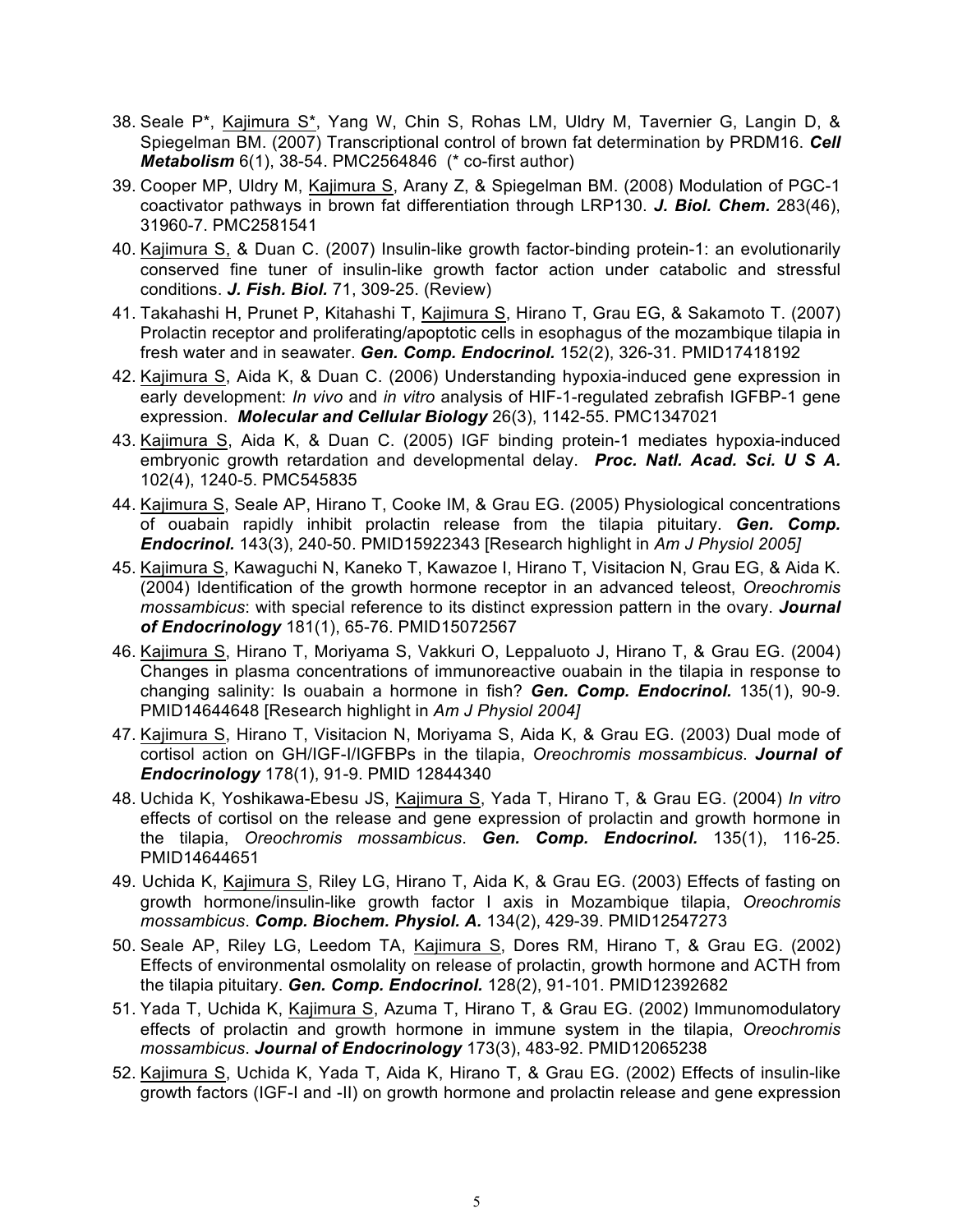- 38. Seale P\*, Kajimura S\*, Yang W, Chin S, Rohas LM, Uldry M, Tavernier G, Langin D, & Spiegelman BM. (2007) Transcriptional control of brown fat determination by PRDM16. *Cell Metabolism* 6(1), 38-54. PMC2564846 (\* co-first author)
- 39. Cooper MP, Uldry M, Kajimura S, Arany Z, & Spiegelman BM. (2008) Modulation of PGC-1 coactivator pathways in brown fat differentiation through LRP130. *J. Biol. Chem.* 283(46), 31960-7. PMC2581541
- 40. Kajimura S, & Duan C. (2007) Insulin-like growth factor-binding protein-1: an evolutionarily conserved fine tuner of insulin-like growth factor action under catabolic and stressful conditions. *J. Fish. Biol.* 71, 309-25. (Review)
- 41. Takahashi H, Prunet P, Kitahashi T, Kajimura S, Hirano T, Grau EG, & Sakamoto T. (2007) Prolactin receptor and proliferating/apoptotic cells in esophagus of the mozambique tilapia in fresh water and in seawater. *Gen. Comp. Endocrinol.* 152(2), 326-31. PMID17418192
- 42. Kajimura S, Aida K, & Duan C. (2006) Understanding hypoxia-induced gene expression in early development: *In vivo* and *in vitro* analysis of HIF-1-regulated zebrafish IGFBP-1 gene expression. *Molecular and Cellular Biology* 26(3), 1142-55. PMC1347021
- 43. Kajimura S, Aida K, & Duan C. (2005) IGF binding protein-1 mediates hypoxia-induced embryonic growth retardation and developmental delay. *Proc. Natl. Acad. Sci. U S A.* 102(4), 1240-5. PMC545835
- 44. Kajimura S, Seale AP, Hirano T, Cooke IM, & Grau EG. (2005) Physiological concentrations of ouabain rapidly inhibit prolactin release from the tilapia pituitary. *Gen. Comp. Endocrinol.* 143(3), 240-50. PMID15922343 [Research highlight in *Am J Physiol 2005]*
- 45. Kajimura S, Kawaguchi N, Kaneko T, Kawazoe I, Hirano T, Visitacion N, Grau EG, & Aida K. (2004) Identification of the growth hormone receptor in an advanced teleost, *Oreochromis mossambicus*: with special reference to its distinct expression pattern in the ovary. *Journal of Endocrinology* 181(1), 65-76. PMID15072567
- 46. Kajimura S, Hirano T, Moriyama S, Vakkuri O, Leppaluoto J, Hirano T, & Grau EG. (2004) Changes in plasma concentrations of immunoreactive ouabain in the tilapia in response to changing salinity: Is ouabain a hormone in fish? *Gen. Comp. Endocrinol.* 135(1), 90-9. PMID14644648 [Research highlight in *Am J Physiol 2004]*
- 47. Kajimura S, Hirano T, Visitacion N, Moriyama S, Aida K, & Grau EG. (2003) Dual mode of cortisol action on GH/IGF-I/IGFBPs in the tilapia, *Oreochromis mossambicus*. *Journal of Endocrinology* 178(1), 91-9. PMID 12844340
- 48. Uchida K, Yoshikawa-Ebesu JS, Kajimura S, Yada T, Hirano T, & Grau EG. (2004) *In vitro* effects of cortisol on the release and gene expression of prolactin and growth hormone in the tilapia, *Oreochromis mossambicus*. *Gen. Comp. Endocrinol.* 135(1), 116-25. PMID14644651
- 49. Uchida K, Kajimura S, Riley LG, Hirano T, Aida K, & Grau EG. (2003) Effects of fasting on growth hormone/insulin-like growth factor I axis in Mozambique tilapia, *Oreochromis mossambicus*. *Comp. Biochem. Physiol. A.* 134(2), 429-39. PMID12547273
- 50. Seale AP, Riley LG, Leedom TA, Kajimura S, Dores RM, Hirano T, & Grau EG. (2002) Effects of environmental osmolality on release of prolactin, growth hormone and ACTH from the tilapia pituitary. *Gen. Comp. Endocrinol.* 128(2), 91-101. PMID12392682
- 51. Yada T, Uchida K, Kajimura S, Azuma T, Hirano T, & Grau EG. (2002) Immunomodulatory effects of prolactin and growth hormone in immune system in the tilapia, *Oreochromis mossambicus*. *Journal of Endocrinology* 173(3), 483-92. PMID12065238
- 52. Kajimura S, Uchida K, Yada T, Aida K, Hirano T, & Grau EG. (2002) Effects of insulin-like growth factors (IGF-I and -II) on growth hormone and prolactin release and gene expression